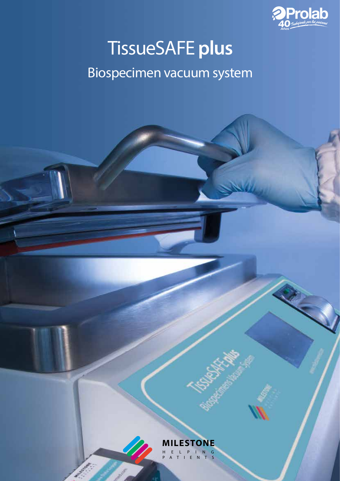

R

# TissueSAFE **plus**

## Biospecimen vacuum system

**MILESTONE** HELPING N T S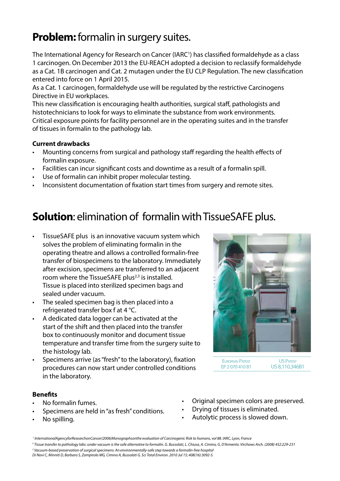### **Problem:** formalin in surgery suites.

The International Agency for Research on Cancer (IARC<sup>1</sup>) has classified formaldehyde as a class 1 carcinogen. On December 2013 the EU-REACH adopted a decision to reclassify formaldehyde as a Cat. 1B carcinogen and Cat. 2 mutagen under the EU CLP Regulation. The new classification entered into force on 1 April 2015.

As a Cat. 1 carcinogen, formaldehyde use will be regulated by the restrictive Carcinogens Directive in EU workplaces.

This new classification is encouraging health authorities, surgical staff, pathologists and histotechnicians to look for ways to eliminate the substance from work environments. Critical exposure points for facility personnel are in the operating suites and in the transfer of tissues in formalin to the pathology lab.

#### **Current drawbacks**

- Mounting concerns from surgical and pathology staff regarding the health effects of formalin exposure.
- Facilities can incur significant costs and downtime as a result of a formalin spill.
- Use of formalin can inhibit proper molecular testing.
- Inconsistent documentation of fixation start times from surgery and remote sites.

### **Solution**: elimination of formalin with TissueSAFE plus.

- TissueSAFE plus is an innovative vacuum system which solves the problem of eliminating formalin in the operating theatre and allows a controlled formalin-free transfer of biospecimens to the laboratory. Immediately after excision, specimens are transferred to an adjacent room where the TissueSAFE plus<sup> $2,3$ </sup> is installed. Tissue is placed into sterilized specimen bags and sealed under vacuum.
- The sealed specimen bag is then placed into a refrigerated transfer box f at 4 °C.
- A dedicated data logger can be activated at the start of the shift and then placed into the transfer box to continuously monitor and document tissue temperature and transfer time from the surgery suite to the histology lab.
- Specimens arrive (as "fresh" to the laboratory), fixation procedures can now start under controlled conditions in the laboratory.

#### **Benefits**

- No formalin fumes.
- Specimens are held in "as fresh" conditions.
- No spilling.



European Patent EP2 070 410 B1

US Patent US 8,110,346B1

- Original specimen colors are preserved.
- Drying of tissues is eliminated.
- Autolytic process is slowed down.

*3 Vacuum-based preservation of surgical specimens: An environmentally-safe step towards a formalin-free hospital Di Novi C, Minniti D, Barbaro S, Zampirolo MG, Cimino A, Bussolati G. Sci Total Environ. 2010 Jul 15; 408(16):3092-5.*

*<sup>1</sup> InternationalAgencyforResearchonCancer(2006)Monographsonthe evaluation of Carcinogenic Risk to humans, vol 88. IARC, Lyon, France*

*<sup>2</sup> Tissue transfer to pathology labs: under vacuum is the safe alternative to formalin. G. Bussolati, L. Chiusa, A. Cimino, G. D'Armento. Virchows Arch. (2008) 452:229-231*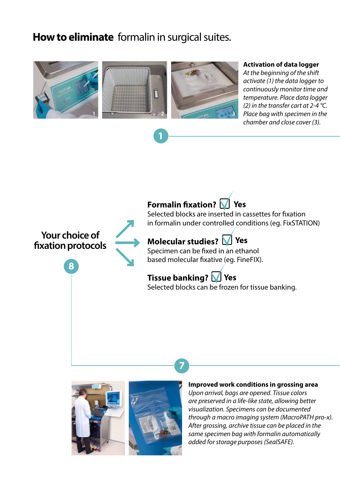### **How to eliminate** formalin in surgical suites.



**1**

#### **Activation of data logger**

*At the b*e*ginning of the shift activate (1) the data logger to continuously monitor time and temperature. Place data logger (2) in the transfer cart at 2-4 °C. chamber and close cover (3).*

### **Formalin fixation? Yes**

**Your choice of fixation protocols**

**8**

Selected blocks are inserted in cassettes for fixation in formalin under controlled conditions (eg. FixSTATION)

#### **Molecular studies? Yes**

Specimen can be fixed in an ethanol based molecular fixative (eg. FineFIX).

**Tissue banking? Yes**

Selected blocks can be frozen for tissue banking.



**7**

#### **Improved work conditions in grossing area**

*Upon arrival, bags are opened. Tissue colors are preserved in a life-like state, allowing better visualization. Specimens can be documented through a macro imaging system (MacroPATH pro-x). After grossing, archive tissue can be placed in the same specimen bag with formalin automatically added for storage purposes (SealSAFE).*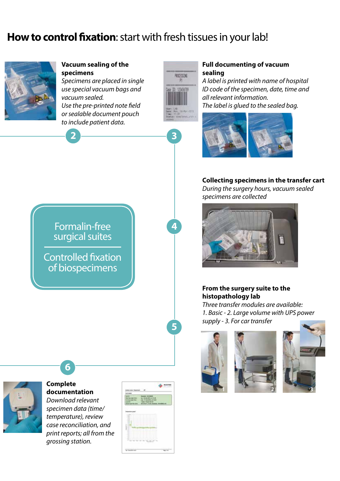### **How to control fixation**: start with fresh tissues in your lab!

PROCESSING

**Vacuum sealing of the** 

*Specimens are placed in single* 

**specimens**







**Complete documentation** *Download relevant* 

**6**

*specimen data (time/ temperature), review case reconciliation, and print reports; all from the grossing station.*

| - -                                          |                                                                                                    |   |  |
|----------------------------------------------|----------------------------------------------------------------------------------------------------|---|--|
|                                              |                                                                                                    |   |  |
|                                              |                                                                                                    |   |  |
|                                              |                                                                                                    |   |  |
|                                              |                                                                                                    |   |  |
| $-111$<br>---                                |                                                                                                    |   |  |
| Ŧ<br>-                                       |                                                                                                    |   |  |
| $\sim$<br>-<br><b>STAR</b>                   | .                                                                                                  |   |  |
| -<br>٠                                       | The contract of the contract of the con-<br>---------------                                        |   |  |
| $\overline{\phantom{a}}$<br>÷<br>$\sim$<br>- | _____________<br>a colonization of the state of the state.<br>Filed a firmed in the could reliable |   |  |
| $\sim$<br><b>Links</b>                       | <b>HAMMIT ATTACHMENT</b>                                                                           |   |  |
| $\sim$                                       | a decision in the Automotive Controller<br>_______                                                 | . |  |
| $-$                                          | ______<br>____                                                                                     |   |  |
| -                                            | <b>CONTRACTOR</b><br>v                                                                             |   |  |
| .<br><br>$\sim$                              | ۰.                                                                                                 |   |  |

#### **Full documenting of vacuum sealing**

*A label is printed with name of hospital ID code of the specimen, date, time and all relevant information. The label is glued to the sealed bag.*



#### **Collecting specimens in the transfer cart**

*During the surgery hours, vacuum sealed specimens are collected*



#### **From the surgery suite to the histopathology lab**

*Three transfer modules are available: 1. Basic - 2. Large volume with UPS power supply - 3. For car transfer*





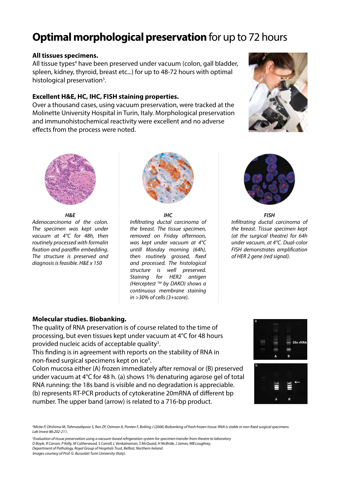### **Optimal morphological preservation** for up to 72 hours

#### **All tissues specimens.**

All tissue types<sup>4</sup> have been preserved under vacuum (colon, gall bladder, spleen, kidney, thyroid, breast etc...) for up to 48-72 hours with optimal histological preservation<sup>5</sup>.

#### **Excellent H&E, HC, IHC, FISH staining properties.**

Over a thousand cases, using vacuum preservation, were tracked at the Molinette University Hospital in Turin, Italy. Morphological preservation and immunohistochemical reactivity were excellent and no adverse effects from the process were noted.





*H&E*

*Adenocarcinoma of the colon. The specimen was kept under vacuum at 4°C for 48h, then routinely processed with formalin fixation and paraffin embedding. The structure is preserved and diagnosis is feasible. H&E x 150*



#### *IHC*

*Infiltrating ductal carcinoma of the breast. The tissue specimen, removed on Friday afternoon, was kept under vacuum at 4°C untill Monday morning (64h), then routinely grossed, fixed and processed. The histological structure is well preserved. Staining for HER2 antigen (Herceptest TM by DAKO) shows a continuous membrane staining in >30% of cells (3+score).*



*FISH Infiltrating ductal carcinoma of the breast. Tissue specimen kept (at the surgical theatre) for 64h under vacuum, at 4°C. Dual-color FISH demonstrates amplification of HER 2 gene (red signal).*

#### **Molecular studies. Biobanking.**

The quality of RNA preservation is of course related to the time of processing, but even tissues kept under vacuum at 4°C for 48 hours provided nucleic acids of acceptable quality<sup>3</sup>.

This finding is in agreement with reports on the stability of RNA in non-fixed surgical specimens kept on ice<sup>4</sup>.

Colon mucosa either (A) frozen immediately after removal or (B) preserved under vacuum at 4°C for 48 h. (a) shows 1% denaturing agarose gel of total RNA running: the 18s band is visible and no degradation is appreciable. (b) represents RT-PCR products of cytokeratine 20mRNA of different bp number. The upper band (arrow) is related to a 716-bp product.



*4 Micke P, Ohshima M, Tahmasebpoor S, Ren ZP, Ostman A, Ponten F, Botling J (2006) Biobanking of fresh frozen tissue: RNA is stable in non-fixed surgical specimens. Lab Invest 86:202-211.*

*5 Evaluation of tissue preservation using a vacuum-based refrigeration system for specimen transfer from theatre to laboratory D Boyle, R Carson, P Kelly, M Catherwood, S Carroll, L Venkatraman, S McQuaid, H McBride, J James, MB Loughrey, Department of Pathology, Royal Group of Hospitals Trust, Belfast, Northern Ireland. Images courtesy of Prof. G. Bussolati Turin University (Italy).*